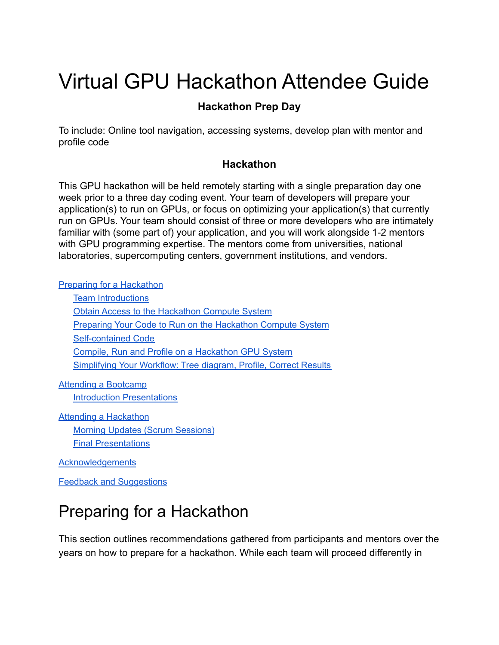# Virtual GPU Hackathon Attendee Guide

#### **Hackathon Prep Day**

To include: Online tool navigation, accessing systems, develop plan with mentor and profile code

#### **Hackathon**

This GPU hackathon will be held remotely starting with a single preparation day one week prior to a three day coding event. Your team of developers will prepare your application(s) to run on GPUs, or focus on optimizing your application(s) that currently run on GPUs. Your team should consist of three or more developers who are intimately familiar with (some part of) your application, and you will work alongside 1-2 mentors with GPU programming expertise. The mentors come from universities, national laboratories, supercomputing centers, government institutions, and vendors.

Preparing for a [Hackathon](#page-0-0)

| <b>Team Introductions</b> |
|---------------------------|
|                           |

Obtain Access to the Hackathon Compute System

Preparing Your Code to Run on the [Hackathon](#page-1-1) Compute System

[Self-contained](#page-2-0) Code

Compile, Run and Profile on a [Hackathon](#page-2-1) GPU System

[Simplifying](#page-3-0) Your Workflow: Tree diagram, Profile, Correct Results

Attending a [Bootcamp](#page-3-1)

Introduction [Presentations](#page-4-0)

Attending a [Hackathon](#page-4-1) Morning Updates (Scrum [Sessions\)](#page-4-2) Final [Presentations](#page-5-0)

**[Acknowledgements](#page-5-1)** 

Feedback and [Suggestions](#page-5-2)

## <span id="page-0-0"></span>Preparing for a Hackathon

This section outlines recommendations gathered from participants and mentors over the years on how to prepare for a hackathon. While each team will proceed differently in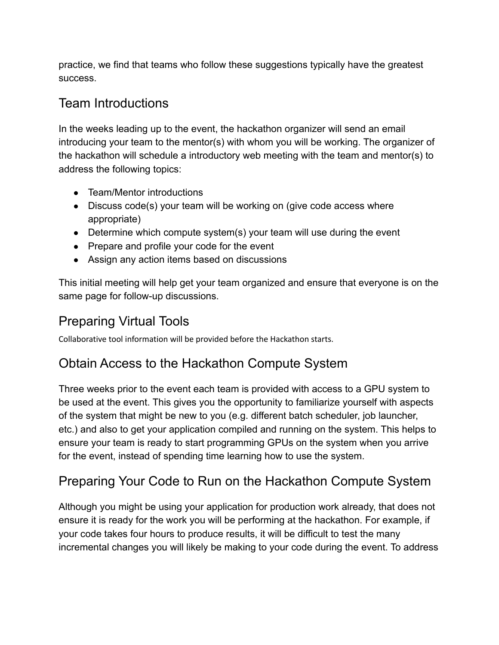practice, we find that teams who follow these suggestions typically have the greatest success.

#### <span id="page-1-0"></span>Team Introductions

In the weeks leading up to the event, the hackathon organizer will send an email introducing your team to the mentor(s) with whom you will be working. The organizer of the hackathon will schedule a introductory web meeting with the team and mentor(s) to address the following topics:

- Team/Mentor introductions
- Discuss code(s) your team will be working on (give code access where appropriate)
- Determine which compute system(s) your team will use during the event
- Prepare and profile your code for the event
- Assign any action items based on discussions

This initial meeting will help get your team organized and ensure that everyone is on the same page for follow-up discussions.

### Preparing Virtual Tools

Collaborative tool information will be provided before the Hackathon starts.

#### Obtain Access to the Hackathon Compute System

Three weeks prior to the event each team is provided with access to a GPU system to be used at the event. This gives you the opportunity to familiarize yourself with aspects of the system that might be new to you (e.g. different batch scheduler, job launcher, etc.) and also to get your application compiled and running on the system. This helps to ensure your team is ready to start programming GPUs on the system when you arrive for the event, instead of spending time learning how to use the system.

### <span id="page-1-1"></span>Preparing Your Code to Run on the Hackathon Compute System

Although you might be using your application for production work already, that does not ensure it is ready for the work you will be performing at the hackathon. For example, if your code takes four hours to produce results, it will be difficult to test the many incremental changes you will likely be making to your code during the event. To address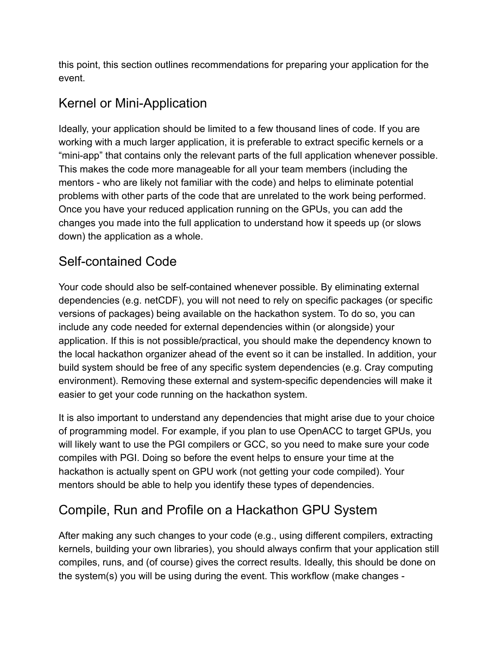this point, this section outlines recommendations for preparing your application for the event.

### Kernel or Mini-Application

Ideally, your application should be limited to a few thousand lines of code. If you are working with a much larger application, it is preferable to extract specific kernels or a "mini-app" that contains only the relevant parts of the full application whenever possible. This makes the code more manageable for all your team members (including the mentors - who are likely not familiar with the code) and helps to eliminate potential problems with other parts of the code that are unrelated to the work being performed. Once you have your reduced application running on the GPUs, you can add the changes you made into the full application to understand how it speeds up (or slows down) the application as a whole.

### <span id="page-2-0"></span>Self-contained Code

Your code should also be self-contained whenever possible. By eliminating external dependencies (e.g. netCDF), you will not need to rely on specific packages (or specific versions of packages) being available on the hackathon system. To do so, you can include any code needed for external dependencies within (or alongside) your application. If this is not possible/practical, you should make the dependency known to the local hackathon organizer ahead of the event so it can be installed. In addition, your build system should be free of any specific system dependencies (e.g. Cray computing environment). Removing these external and system-specific dependencies will make it easier to get your code running on the hackathon system.

It is also important to understand any dependencies that might arise due to your choice of programming model. For example, if you plan to use OpenACC to target GPUs, you will likely want to use the PGI compilers or GCC, so you need to make sure your code compiles with PGI. Doing so before the event helps to ensure your time at the hackathon is actually spent on GPU work (not getting your code compiled). Your mentors should be able to help you identify these types of dependencies.

### <span id="page-2-1"></span>Compile, Run and Profile on a Hackathon GPU System

After making any such changes to your code (e.g., using different compilers, extracting kernels, building your own libraries), you should always confirm that your application still compiles, runs, and (of course) gives the correct results. Ideally, this should be done on the system(s) you will be using during the event. This workflow (make changes -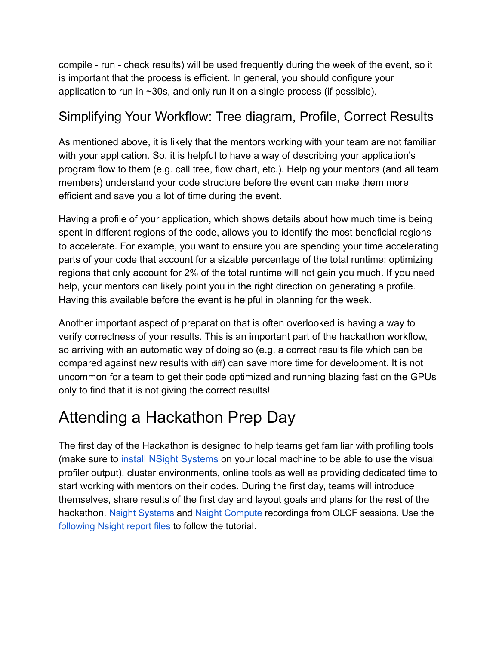compile - run - check results) will be used frequently during the week of the event, so it is important that the process is efficient. In general, you should configure your application to run in ~30s, and only run it on a single process (if possible).

#### <span id="page-3-0"></span>Simplifying Your Workflow: Tree diagram, Profile, Correct Results

As mentioned above, it is likely that the mentors working with your team are not familiar with your application. So, it is helpful to have a way of describing your application's program flow to them (e.g. call tree, flow chart, etc.). Helping your mentors (and all team members) understand your code structure before the event can make them more efficient and save you a lot of time during the event.

Having a profile of your application, which shows details about how much time is being spent in different regions of the code, allows you to identify the most beneficial regions to accelerate. For example, you want to ensure you are spending your time accelerating parts of your code that account for a sizable percentage of the total runtime; optimizing regions that only account for 2% of the total runtime will not gain you much. If you need help, your mentors can likely point you in the right direction on generating a profile. Having this available before the event is helpful in planning for the week.

Another important aspect of preparation that is often overlooked is having a way to verify correctness of your results. This is an important part of the hackathon workflow, so arriving with an automatic way of doing so (e.g. a correct results file which can be compared against new results with diff) can save more time for development. It is not uncommon for a team to get their code optimized and running blazing fast on the GPUs only to find that it is not giving the correct results!

### <span id="page-3-1"></span>Attending a Hackathon Prep Day

The first day of the Hackathon is designed to help teams get familiar with profiling tools (make sure to [install NSight Systems](https://developer.nvidia.com/nsight-systems) on your local machine to be able to use the visual profiler output), cluster environments, online tools as well as providing dedicated time to start working with mentors on their codes. During the first day, teams will introduce themselves, share results of the first day and layout goals and plans for the rest of the hackathon. Nsight [Systems](https://vimeo.com/398838139) and Nsight [Compute](https://vimeo.com/398929189) recordings from OLCF sessions. Use the [following](https://drive.google.com/open?id=133a90SIupysHfbO3mlyfXfaEivCyV1EP) Nsight report files to follow the tutorial.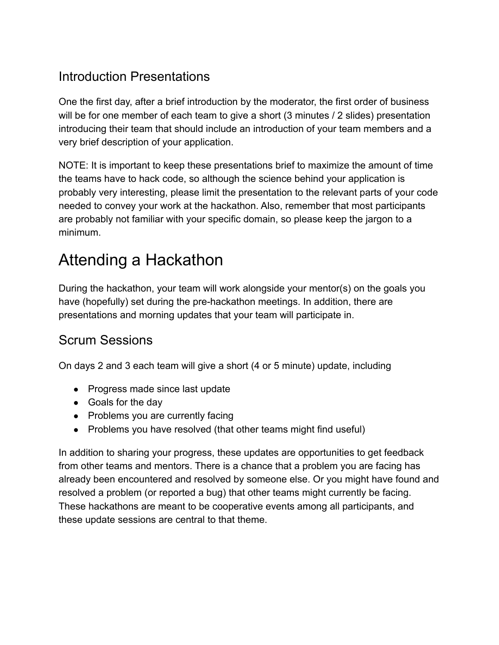#### <span id="page-4-0"></span>Introduction Presentations

One the first day, after a brief introduction by the moderator, the first order of business will be for one member of each team to give a short (3 minutes / 2 slides) presentation introducing their team that should include an introduction of your team members and a very brief description of your application.

NOTE: It is important to keep these presentations brief to maximize the amount of time the teams have to hack code, so although the science behind your application is probably very interesting, please limit the presentation to the relevant parts of your code needed to convey your work at the hackathon. Also, remember that most participants are probably not familiar with your specific domain, so please keep the jargon to a minimum.

## <span id="page-4-1"></span>Attending a Hackathon

During the hackathon, your team will work alongside your mentor(s) on the goals you have (hopefully) set during the pre-hackathon meetings. In addition, there are presentations and morning updates that your team will participate in.

### <span id="page-4-2"></span>Scrum Sessions

On days 2 and 3 each team will give a short (4 or 5 minute) update, including

- Progress made since last update
- Goals for the day
- Problems you are currently facing
- Problems you have resolved (that other teams might find useful)

In addition to sharing your progress, these updates are opportunities to get feedback from other teams and mentors. There is a chance that a problem you are facing has already been encountered and resolved by someone else. Or you might have found and resolved a problem (or reported a bug) that other teams might currently be facing. These hackathons are meant to be cooperative events among all participants, and these update sessions are central to that theme.